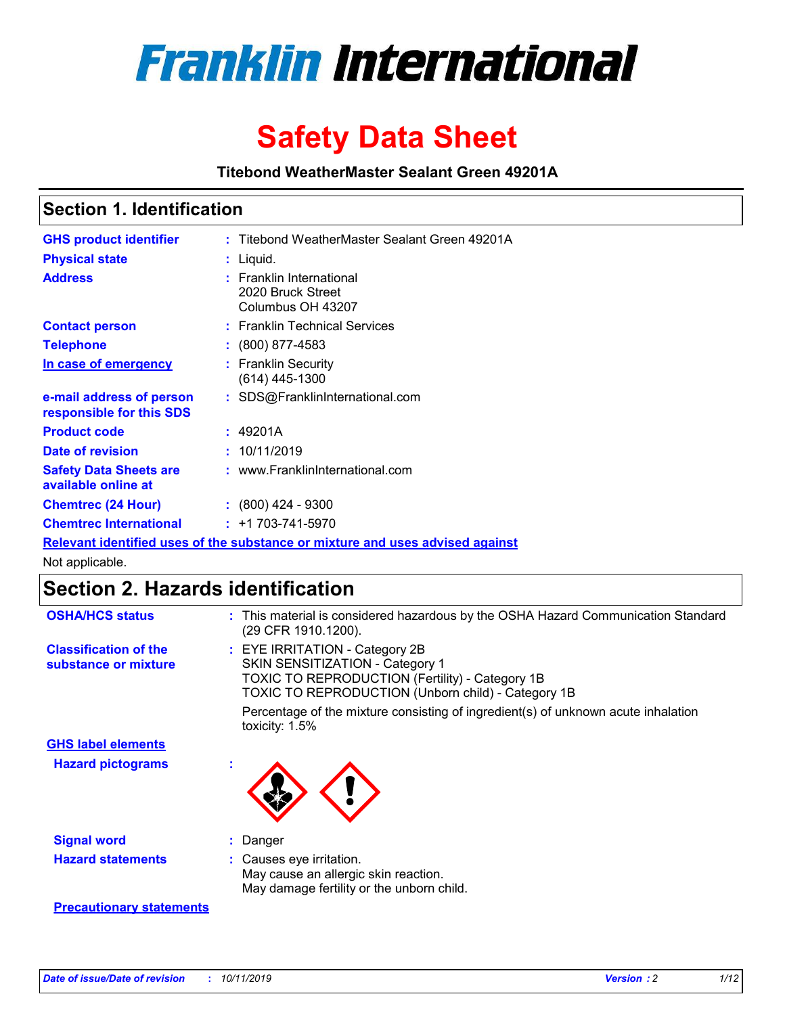

# **Safety Data Sheet**

**Titebond WeatherMaster Sealant Green 49201A**

### **Section 1. Identification**

| <b>GHS product identifier</b>                                                 |  | : Titebond WeatherMaster Sealant Green 49201A                      |  |  |  |
|-------------------------------------------------------------------------------|--|--------------------------------------------------------------------|--|--|--|
| <b>Physical state</b>                                                         |  | : Liquid.                                                          |  |  |  |
| <b>Address</b>                                                                |  | : Franklin International<br>2020 Bruck Street<br>Columbus OH 43207 |  |  |  |
| <b>Contact person</b>                                                         |  | : Franklin Technical Services                                      |  |  |  |
| <b>Telephone</b>                                                              |  | $\div$ (800) 877-4583                                              |  |  |  |
| In case of emergency                                                          |  | : Franklin Security<br>$(614)$ 445-1300                            |  |  |  |
| e-mail address of person<br>responsible for this SDS                          |  | : SDS@FranklinInternational.com                                    |  |  |  |
| <b>Product code</b>                                                           |  | : 49201A                                                           |  |  |  |
| Date of revision                                                              |  | : 10/11/2019                                                       |  |  |  |
| <b>Safety Data Sheets are</b><br>available online at                          |  | : www.FranklinInternational.com                                    |  |  |  |
| <b>Chemtrec (24 Hour)</b>                                                     |  | $\div$ (800) 424 - 9300                                            |  |  |  |
| <b>Chemtrec International</b>                                                 |  | $: +1703 - 741 - 5970$                                             |  |  |  |
| Relevant identified uses of the substance or mixture and uses advised against |  |                                                                    |  |  |  |

Not applicable.

## **Section 2. Hazards identification**

| <b>OSHA/HCS status</b>                               | : This material is considered hazardous by the OSHA Hazard Communication Standard<br>(29 CFR 1910.1200).                                                                                 |
|------------------------------------------------------|------------------------------------------------------------------------------------------------------------------------------------------------------------------------------------------|
| <b>Classification of the</b><br>substance or mixture | : EYE IRRITATION - Category 2B<br>SKIN SENSITIZATION - Category 1<br><b>TOXIC TO REPRODUCTION (Fertility) - Category 1B</b><br><b>TOXIC TO REPRODUCTION (Unborn child) - Category 1B</b> |
|                                                      | Percentage of the mixture consisting of ingredient(s) of unknown acute inhalation<br>toxicity: $1.5\%$                                                                                   |
| <b>GHS label elements</b>                            |                                                                                                                                                                                          |
| <b>Hazard pictograms</b>                             |                                                                                                                                                                                          |
| <b>Signal word</b>                                   | : Danger                                                                                                                                                                                 |
| <b>Hazard statements</b>                             | : Causes eye irritation.<br>May cause an allergic skin reaction.<br>May damage fertility or the unborn child.                                                                            |
| <b>Precautionary statements</b>                      |                                                                                                                                                                                          |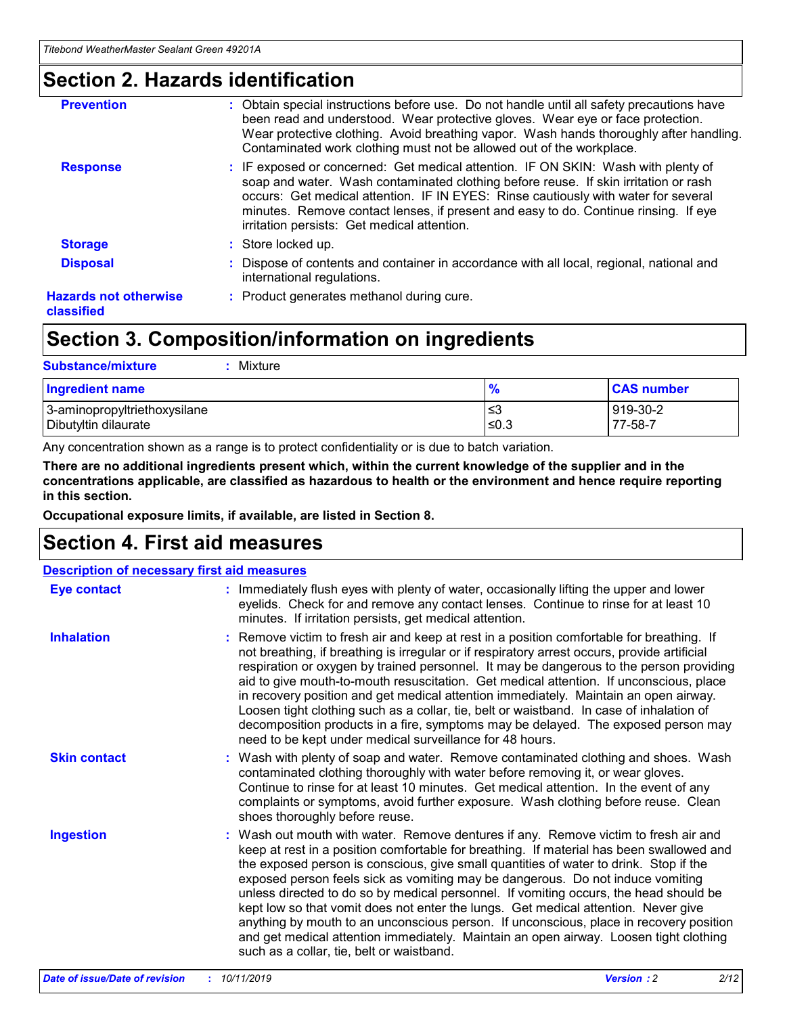### **Section 2. Hazards identification**

| <b>Prevention</b>                          | : Obtain special instructions before use. Do not handle until all safety precautions have<br>been read and understood. Wear protective gloves. Wear eye or face protection.<br>Wear protective clothing. Avoid breathing vapor. Wash hands thoroughly after handling.<br>Contaminated work clothing must not be allowed out of the workplace.                                                        |
|--------------------------------------------|------------------------------------------------------------------------------------------------------------------------------------------------------------------------------------------------------------------------------------------------------------------------------------------------------------------------------------------------------------------------------------------------------|
| <b>Response</b>                            | : IF exposed or concerned: Get medical attention. IF ON SKIN: Wash with plenty of<br>soap and water. Wash contaminated clothing before reuse. If skin irritation or rash<br>occurs: Get medical attention. IF IN EYES: Rinse cautiously with water for several<br>minutes. Remove contact lenses, if present and easy to do. Continue rinsing. If eye<br>irritation persists: Get medical attention. |
| <b>Storage</b>                             | : Store locked up.                                                                                                                                                                                                                                                                                                                                                                                   |
| <b>Disposal</b>                            | : Dispose of contents and container in accordance with all local, regional, national and<br>international regulations.                                                                                                                                                                                                                                                                               |
| <b>Hazards not otherwise</b><br>classified | : Product generates methanol during cure.                                                                                                                                                                                                                                                                                                                                                            |
|                                            |                                                                                                                                                                                                                                                                                                                                                                                                      |

### **Section 3. Composition/information on ingredients**

| <b>Substance/mixture</b><br>: Mixture                |               |                     |
|------------------------------------------------------|---------------|---------------------|
| Ingredient name                                      | $\frac{9}{6}$ | <b>CAS number</b>   |
| 3-aminopropyltriethoxysilane<br>Dibutyltin dilaurate | צ≥<br>≤0.3    | 919-30-2<br>77-58-7 |

Any concentration shown as a range is to protect confidentiality or is due to batch variation.

**There are no additional ingredients present which, within the current knowledge of the supplier and in the concentrations applicable, are classified as hazardous to health or the environment and hence require reporting in this section.**

**Occupational exposure limits, if available, are listed in Section 8.**

### **Section 4. First aid measures**

| <b>Description of necessary first aid measures</b> |                                                                                                                                                                                                                                                                                                                                                                                                                                                                                                                                                                                                                                                                                                                                                                           |  |  |  |
|----------------------------------------------------|---------------------------------------------------------------------------------------------------------------------------------------------------------------------------------------------------------------------------------------------------------------------------------------------------------------------------------------------------------------------------------------------------------------------------------------------------------------------------------------------------------------------------------------------------------------------------------------------------------------------------------------------------------------------------------------------------------------------------------------------------------------------------|--|--|--|
| <b>Eye contact</b>                                 | : Immediately flush eyes with plenty of water, occasionally lifting the upper and lower<br>eyelids. Check for and remove any contact lenses. Continue to rinse for at least 10<br>minutes. If irritation persists, get medical attention.                                                                                                                                                                                                                                                                                                                                                                                                                                                                                                                                 |  |  |  |
| <b>Inhalation</b>                                  | : Remove victim to fresh air and keep at rest in a position comfortable for breathing. If<br>not breathing, if breathing is irregular or if respiratory arrest occurs, provide artificial<br>respiration or oxygen by trained personnel. It may be dangerous to the person providing<br>aid to give mouth-to-mouth resuscitation. Get medical attention. If unconscious, place<br>in recovery position and get medical attention immediately. Maintain an open airway.<br>Loosen tight clothing such as a collar, tie, belt or waistband. In case of inhalation of<br>decomposition products in a fire, symptoms may be delayed. The exposed person may<br>need to be kept under medical surveillance for 48 hours.                                                       |  |  |  |
| <b>Skin contact</b>                                | : Wash with plenty of soap and water. Remove contaminated clothing and shoes. Wash<br>contaminated clothing thoroughly with water before removing it, or wear gloves.<br>Continue to rinse for at least 10 minutes. Get medical attention. In the event of any<br>complaints or symptoms, avoid further exposure. Wash clothing before reuse. Clean<br>shoes thoroughly before reuse.                                                                                                                                                                                                                                                                                                                                                                                     |  |  |  |
| <b>Ingestion</b>                                   | : Wash out mouth with water. Remove dentures if any. Remove victim to fresh air and<br>keep at rest in a position comfortable for breathing. If material has been swallowed and<br>the exposed person is conscious, give small quantities of water to drink. Stop if the<br>exposed person feels sick as vomiting may be dangerous. Do not induce vomiting<br>unless directed to do so by medical personnel. If vomiting occurs, the head should be<br>kept low so that vomit does not enter the lungs. Get medical attention. Never give<br>anything by mouth to an unconscious person. If unconscious, place in recovery position<br>and get medical attention immediately. Maintain an open airway. Loosen tight clothing<br>such as a collar, tie, belt or waistband. |  |  |  |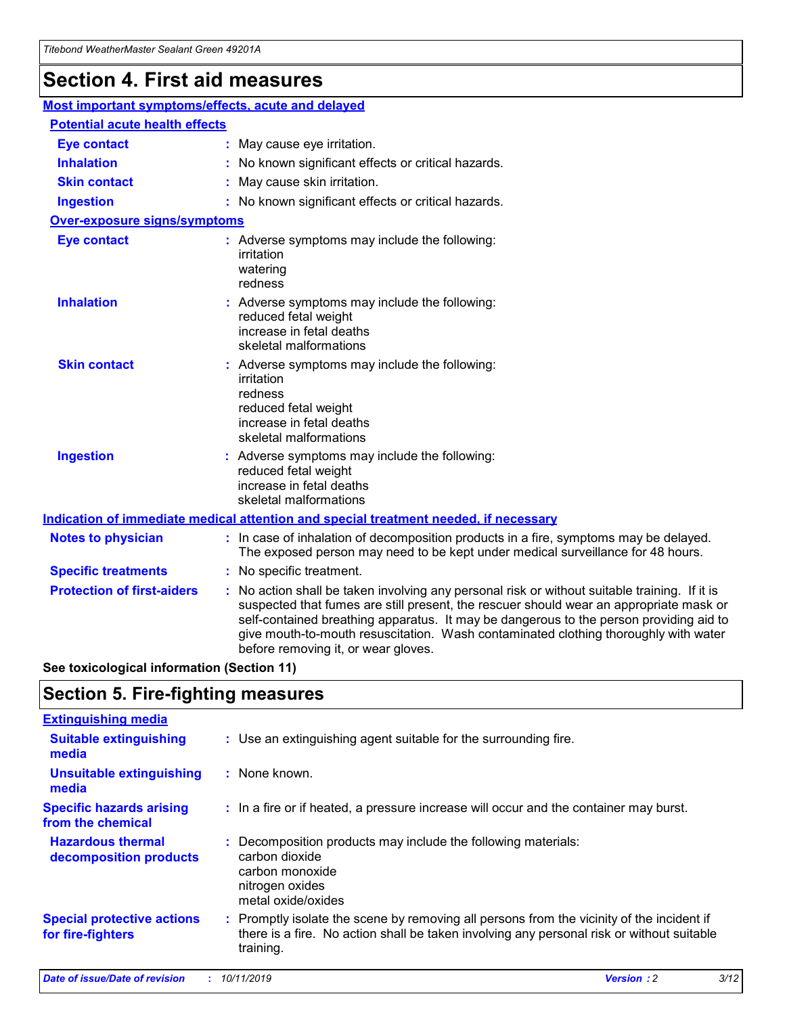## **Section 4. First aid measures**

| Most important symptoms/effects, acute and delayed |                                       |                                                                                                                                                                                                                                                                                                                                                                                                                 |  |  |  |
|----------------------------------------------------|---------------------------------------|-----------------------------------------------------------------------------------------------------------------------------------------------------------------------------------------------------------------------------------------------------------------------------------------------------------------------------------------------------------------------------------------------------------------|--|--|--|
|                                                    | <b>Potential acute health effects</b> |                                                                                                                                                                                                                                                                                                                                                                                                                 |  |  |  |
| <b>Eye contact</b>                                 |                                       | : May cause eye irritation.                                                                                                                                                                                                                                                                                                                                                                                     |  |  |  |
| <b>Inhalation</b>                                  |                                       | : No known significant effects or critical hazards.                                                                                                                                                                                                                                                                                                                                                             |  |  |  |
| <b>Skin contact</b>                                |                                       | : May cause skin irritation.                                                                                                                                                                                                                                                                                                                                                                                    |  |  |  |
| <b>Ingestion</b>                                   |                                       | : No known significant effects or critical hazards.                                                                                                                                                                                                                                                                                                                                                             |  |  |  |
| <b>Over-exposure signs/symptoms</b>                |                                       |                                                                                                                                                                                                                                                                                                                                                                                                                 |  |  |  |
| <b>Eye contact</b>                                 |                                       | : Adverse symptoms may include the following:<br>irritation<br>watering<br>redness                                                                                                                                                                                                                                                                                                                              |  |  |  |
| <b>Inhalation</b>                                  |                                       | : Adverse symptoms may include the following:<br>reduced fetal weight<br>increase in fetal deaths<br>skeletal malformations                                                                                                                                                                                                                                                                                     |  |  |  |
| <b>Skin contact</b>                                |                                       | : Adverse symptoms may include the following:<br>irritation<br>redness<br>reduced fetal weight<br>increase in fetal deaths<br>skeletal malformations                                                                                                                                                                                                                                                            |  |  |  |
| <b>Ingestion</b>                                   |                                       | : Adverse symptoms may include the following:<br>reduced fetal weight<br>increase in fetal deaths<br>skeletal malformations                                                                                                                                                                                                                                                                                     |  |  |  |
|                                                    |                                       | <b>Indication of immediate medical attention and special treatment needed, if necessary</b>                                                                                                                                                                                                                                                                                                                     |  |  |  |
| <b>Notes to physician</b>                          |                                       | : In case of inhalation of decomposition products in a fire, symptoms may be delayed.<br>The exposed person may need to be kept under medical surveillance for 48 hours.                                                                                                                                                                                                                                        |  |  |  |
| <b>Specific treatments</b>                         |                                       | : No specific treatment.                                                                                                                                                                                                                                                                                                                                                                                        |  |  |  |
| <b>Protection of first-aiders</b>                  |                                       | : No action shall be taken involving any personal risk or without suitable training. If it is<br>suspected that fumes are still present, the rescuer should wear an appropriate mask or<br>self-contained breathing apparatus. It may be dangerous to the person providing aid to<br>give mouth-to-mouth resuscitation. Wash contaminated clothing thoroughly with water<br>before removing it, or wear gloves. |  |  |  |

**See toxicological information (Section 11)**

### **Section 5. Fire-fighting measures**

| <b>Extinguishing media</b>                             |                                                                                                                                                                                                     |
|--------------------------------------------------------|-----------------------------------------------------------------------------------------------------------------------------------------------------------------------------------------------------|
| <b>Suitable extinguishing</b><br>media                 | : Use an extinguishing agent suitable for the surrounding fire.                                                                                                                                     |
| <b>Unsuitable extinguishing</b><br>media               | : None known.                                                                                                                                                                                       |
| <b>Specific hazards arising</b><br>from the chemical   | : In a fire or if heated, a pressure increase will occur and the container may burst.                                                                                                               |
| <b>Hazardous thermal</b><br>decomposition products     | : Decomposition products may include the following materials:<br>carbon dioxide<br>carbon monoxide<br>nitrogen oxides<br>metal oxide/oxides                                                         |
| <b>Special protective actions</b><br>for fire-fighters | : Promptly isolate the scene by removing all persons from the vicinity of the incident if<br>there is a fire. No action shall be taken involving any personal risk or without suitable<br>training. |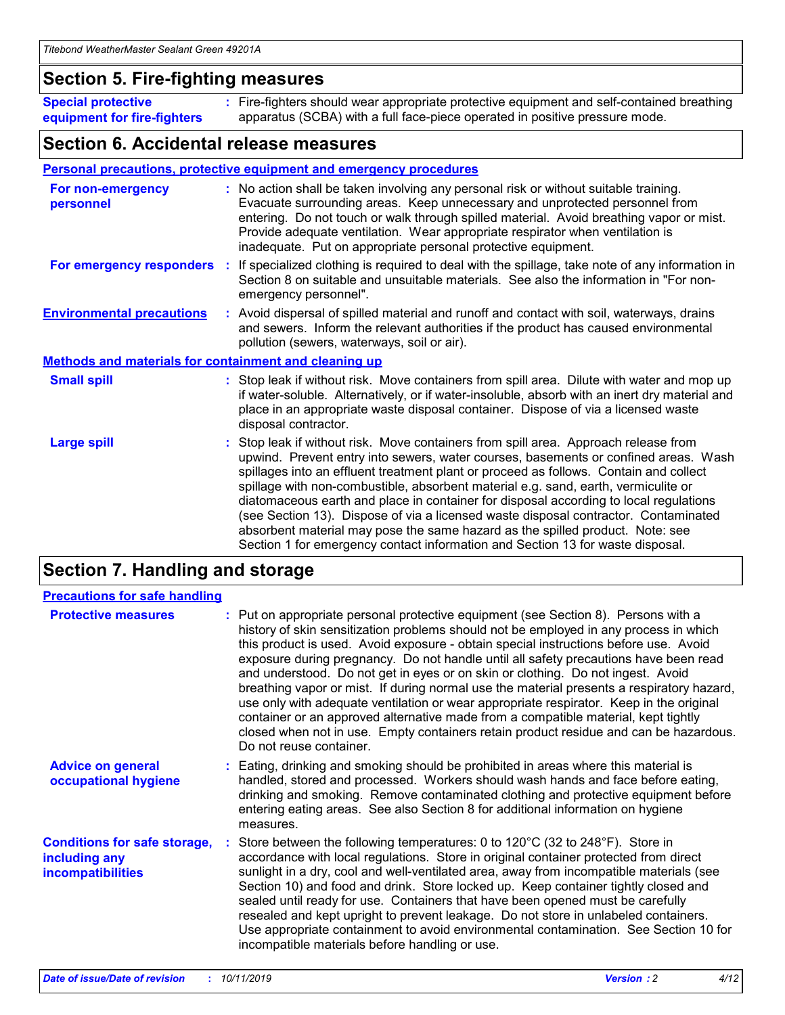### **Section 5. Fire-fighting measures**

**Special protective equipment for fire-fighters** Fire-fighters should wear appropriate protective equipment and self-contained breathing **:** apparatus (SCBA) with a full face-piece operated in positive pressure mode.

### **Section 6. Accidental release measures**

#### **Personal precautions, protective equipment and emergency procedures**

| For non-emergency<br>personnel                               | : No action shall be taken involving any personal risk or without suitable training.<br>Evacuate surrounding areas. Keep unnecessary and unprotected personnel from<br>entering. Do not touch or walk through spilled material. Avoid breathing vapor or mist.<br>Provide adequate ventilation. Wear appropriate respirator when ventilation is<br>inadequate. Put on appropriate personal protective equipment.                                                                                                                                                                                                                                                                                             |
|--------------------------------------------------------------|--------------------------------------------------------------------------------------------------------------------------------------------------------------------------------------------------------------------------------------------------------------------------------------------------------------------------------------------------------------------------------------------------------------------------------------------------------------------------------------------------------------------------------------------------------------------------------------------------------------------------------------------------------------------------------------------------------------|
| For emergency responders                                     | : If specialized clothing is required to deal with the spillage, take note of any information in<br>Section 8 on suitable and unsuitable materials. See also the information in "For non-<br>emergency personnel".                                                                                                                                                                                                                                                                                                                                                                                                                                                                                           |
| <b>Environmental precautions</b>                             | : Avoid dispersal of spilled material and runoff and contact with soil, waterways, drains<br>and sewers. Inform the relevant authorities if the product has caused environmental<br>pollution (sewers, waterways, soil or air).                                                                                                                                                                                                                                                                                                                                                                                                                                                                              |
| <b>Methods and materials for containment and cleaning up</b> |                                                                                                                                                                                                                                                                                                                                                                                                                                                                                                                                                                                                                                                                                                              |
| <b>Small spill</b>                                           | : Stop leak if without risk. Move containers from spill area. Dilute with water and mop up<br>if water-soluble. Alternatively, or if water-insoluble, absorb with an inert dry material and<br>place in an appropriate waste disposal container. Dispose of via a licensed waste<br>disposal contractor.                                                                                                                                                                                                                                                                                                                                                                                                     |
| <b>Large spill</b>                                           | : Stop leak if without risk. Move containers from spill area. Approach release from<br>upwind. Prevent entry into sewers, water courses, basements or confined areas. Wash<br>spillages into an effluent treatment plant or proceed as follows. Contain and collect<br>spillage with non-combustible, absorbent material e.g. sand, earth, vermiculite or<br>diatomaceous earth and place in container for disposal according to local regulations<br>(see Section 13). Dispose of via a licensed waste disposal contractor. Contaminated<br>absorbent material may pose the same hazard as the spilled product. Note: see<br>Section 1 for emergency contact information and Section 13 for waste disposal. |

### **Section 7. Handling and storage**

| <b>Precautions for safe handling</b>                                             |                                                                                                                                                                                                                                                                                                                                                                                                                                                                                                                                                                                                                                                                                                                                                                                                                                                  |
|----------------------------------------------------------------------------------|--------------------------------------------------------------------------------------------------------------------------------------------------------------------------------------------------------------------------------------------------------------------------------------------------------------------------------------------------------------------------------------------------------------------------------------------------------------------------------------------------------------------------------------------------------------------------------------------------------------------------------------------------------------------------------------------------------------------------------------------------------------------------------------------------------------------------------------------------|
| <b>Protective measures</b>                                                       | : Put on appropriate personal protective equipment (see Section 8). Persons with a<br>history of skin sensitization problems should not be employed in any process in which<br>this product is used. Avoid exposure - obtain special instructions before use. Avoid<br>exposure during pregnancy. Do not handle until all safety precautions have been read<br>and understood. Do not get in eyes or on skin or clothing. Do not ingest. Avoid<br>breathing vapor or mist. If during normal use the material presents a respiratory hazard,<br>use only with adequate ventilation or wear appropriate respirator. Keep in the original<br>container or an approved alternative made from a compatible material, kept tightly<br>closed when not in use. Empty containers retain product residue and can be hazardous.<br>Do not reuse container. |
| <b>Advice on general</b><br>occupational hygiene                                 | : Eating, drinking and smoking should be prohibited in areas where this material is<br>handled, stored and processed. Workers should wash hands and face before eating,<br>drinking and smoking. Remove contaminated clothing and protective equipment before<br>entering eating areas. See also Section 8 for additional information on hygiene<br>measures.                                                                                                                                                                                                                                                                                                                                                                                                                                                                                    |
| <b>Conditions for safe storage,</b><br>including any<br><b>incompatibilities</b> | Store between the following temperatures: 0 to 120°C (32 to 248°F). Store in<br>accordance with local regulations. Store in original container protected from direct<br>sunlight in a dry, cool and well-ventilated area, away from incompatible materials (see<br>Section 10) and food and drink. Store locked up. Keep container tightly closed and<br>sealed until ready for use. Containers that have been opened must be carefully<br>resealed and kept upright to prevent leakage. Do not store in unlabeled containers.<br>Use appropriate containment to avoid environmental contamination. See Section 10 for<br>incompatible materials before handling or use.                                                                                                                                                                         |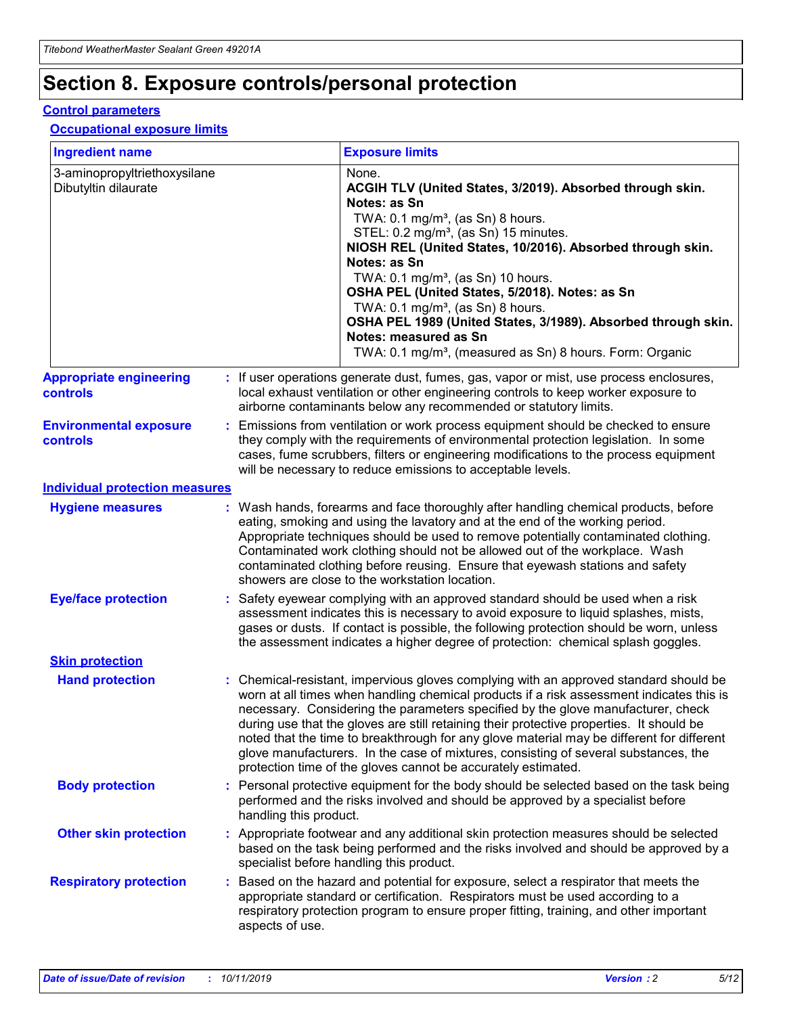## **Section 8. Exposure controls/personal protection**

#### **Control parameters**

#### **Occupational exposure limits**

| <b>Ingredient name</b>                               |    |                                          | <b>Exposure limits</b>                                                                                                                                                                                                                                                                                                                                                                                                                                                                                                                                                                                                 |
|------------------------------------------------------|----|------------------------------------------|------------------------------------------------------------------------------------------------------------------------------------------------------------------------------------------------------------------------------------------------------------------------------------------------------------------------------------------------------------------------------------------------------------------------------------------------------------------------------------------------------------------------------------------------------------------------------------------------------------------------|
| 3-aminopropyltriethoxysilane<br>Dibutyltin dilaurate |    |                                          | None.<br>ACGIH TLV (United States, 3/2019). Absorbed through skin.<br>Notes: as Sn<br>TWA: 0.1 mg/m <sup>3</sup> , (as Sn) 8 hours.<br>STEL: 0.2 mg/m <sup>3</sup> , (as Sn) 15 minutes.<br>NIOSH REL (United States, 10/2016). Absorbed through skin.<br>Notes: as Sn<br>TWA: 0.1 mg/m <sup>3</sup> , (as Sn) 10 hours.<br>OSHA PEL (United States, 5/2018). Notes: as Sn<br>TWA: $0.1 \text{ mg/m}^3$ , (as Sn) 8 hours.<br>OSHA PEL 1989 (United States, 3/1989). Absorbed through skin.<br>Notes: measured as Sn<br>TWA: 0.1 mg/m <sup>3</sup> , (measured as Sn) 8 hours. Form: Organic                           |
| <b>Appropriate engineering</b><br>controls           |    |                                          | : If user operations generate dust, fumes, gas, vapor or mist, use process enclosures,<br>local exhaust ventilation or other engineering controls to keep worker exposure to<br>airborne contaminants below any recommended or statutory limits.                                                                                                                                                                                                                                                                                                                                                                       |
| <b>Environmental exposure</b><br><b>controls</b>     |    |                                          | Emissions from ventilation or work process equipment should be checked to ensure<br>they comply with the requirements of environmental protection legislation. In some<br>cases, fume scrubbers, filters or engineering modifications to the process equipment<br>will be necessary to reduce emissions to acceptable levels.                                                                                                                                                                                                                                                                                          |
| <b>Individual protection measures</b>                |    |                                          |                                                                                                                                                                                                                                                                                                                                                                                                                                                                                                                                                                                                                        |
| <b>Hygiene measures</b>                              |    |                                          | : Wash hands, forearms and face thoroughly after handling chemical products, before<br>eating, smoking and using the lavatory and at the end of the working period.<br>Appropriate techniques should be used to remove potentially contaminated clothing.<br>Contaminated work clothing should not be allowed out of the workplace. Wash<br>contaminated clothing before reusing. Ensure that eyewash stations and safety<br>showers are close to the workstation location.                                                                                                                                            |
| <b>Eye/face protection</b>                           |    |                                          | : Safety eyewear complying with an approved standard should be used when a risk<br>assessment indicates this is necessary to avoid exposure to liquid splashes, mists,<br>gases or dusts. If contact is possible, the following protection should be worn, unless<br>the assessment indicates a higher degree of protection: chemical splash goggles.                                                                                                                                                                                                                                                                  |
| <b>Skin protection</b>                               |    |                                          |                                                                                                                                                                                                                                                                                                                                                                                                                                                                                                                                                                                                                        |
| <b>Hand protection</b>                               |    |                                          | : Chemical-resistant, impervious gloves complying with an approved standard should be<br>worn at all times when handling chemical products if a risk assessment indicates this is<br>necessary. Considering the parameters specified by the glove manufacturer, check<br>during use that the gloves are still retaining their protective properties. It should be<br>noted that the time to breakthrough for any glove material may be different for different<br>glove manufacturers. In the case of mixtures, consisting of several substances, the<br>protection time of the gloves cannot be accurately estimated. |
| <b>Body protection</b>                               |    | handling this product.                   | Personal protective equipment for the body should be selected based on the task being<br>performed and the risks involved and should be approved by a specialist before                                                                                                                                                                                                                                                                                                                                                                                                                                                |
| <b>Other skin protection</b>                         |    | specialist before handling this product. | : Appropriate footwear and any additional skin protection measures should be selected<br>based on the task being performed and the risks involved and should be approved by a                                                                                                                                                                                                                                                                                                                                                                                                                                          |
| <b>Respiratory protection</b>                        | ÷. | aspects of use.                          | Based on the hazard and potential for exposure, select a respirator that meets the<br>appropriate standard or certification. Respirators must be used according to a<br>respiratory protection program to ensure proper fitting, training, and other important                                                                                                                                                                                                                                                                                                                                                         |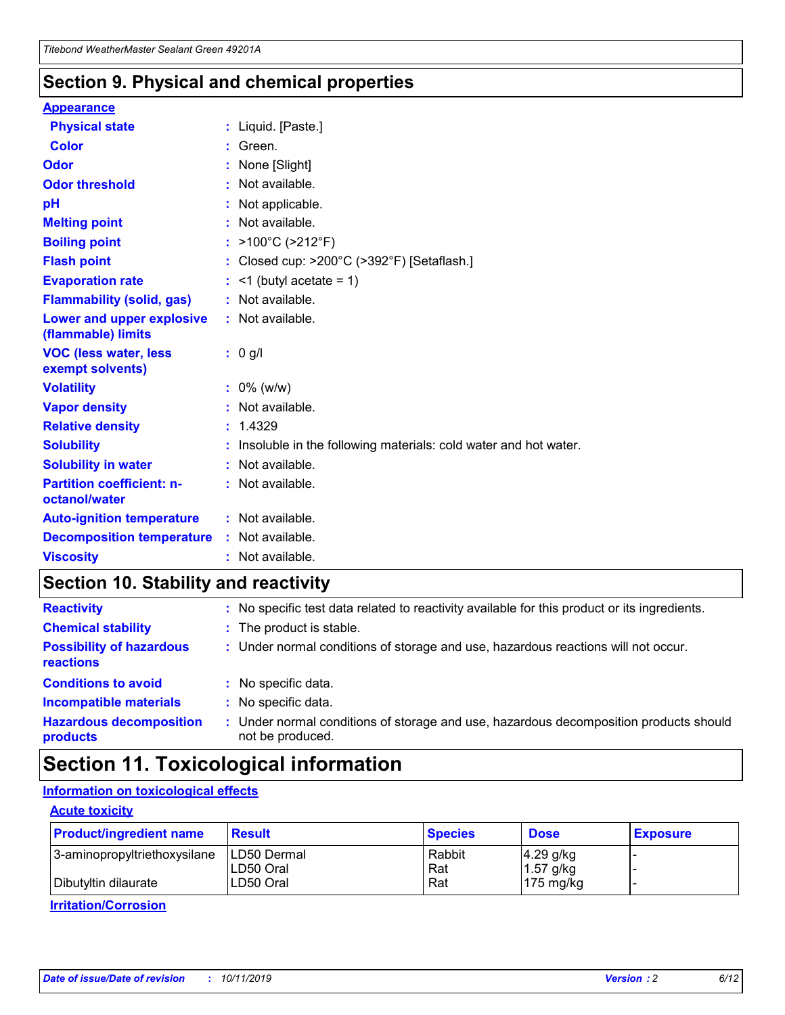### **Section 9. Physical and chemical properties**

#### **Appearance**

| <b>Physical state</b>                             | : Liquid. [Paste.]                                              |
|---------------------------------------------------|-----------------------------------------------------------------|
| <b>Color</b>                                      | Green.                                                          |
| Odor                                              | None [Slight]                                                   |
| <b>Odor threshold</b>                             | : Not available.                                                |
| рH                                                | : Not applicable.                                               |
| <b>Melting point</b>                              | : Not available.                                                |
| <b>Boiling point</b>                              | : >100°C (>212°F)                                               |
| <b>Flash point</b>                                | Closed cup: >200°C (>392°F) [Setaflash.]                        |
| <b>Evaporation rate</b>                           | $:$ <1 (butyl acetate = 1)                                      |
| <b>Flammability (solid, gas)</b>                  | : Not available.                                                |
| Lower and upper explosive<br>(flammable) limits   | $:$ Not available.                                              |
| <b>VOC (less water, less)</b><br>exempt solvents) | $: 0$ g/l                                                       |
| <b>Volatility</b>                                 | $: 0\%$ (w/w)                                                   |
| <b>Vapor density</b>                              | : Not available.                                                |
| <b>Relative density</b>                           | : 1.4329                                                        |
| <b>Solubility</b>                                 | Insoluble in the following materials: cold water and hot water. |
| <b>Solubility in water</b>                        | : Not available.                                                |
| <b>Partition coefficient: n-</b><br>octanol/water | : Not available.                                                |
| <b>Auto-ignition temperature</b>                  | : Not available.                                                |
| <b>Decomposition temperature</b>                  | : Not available.                                                |
| <b>Viscosity</b>                                  | : Not available.                                                |

### **Section 10. Stability and reactivity**

| <b>Reactivity</b>                            |    | : No specific test data related to reactivity available for this product or its ingredients.            |
|----------------------------------------------|----|---------------------------------------------------------------------------------------------------------|
| <b>Chemical stability</b>                    |    | : The product is stable.                                                                                |
| <b>Possibility of hazardous</b><br>reactions |    | : Under normal conditions of storage and use, hazardous reactions will not occur.                       |
| <b>Conditions to avoid</b>                   |    | : No specific data.                                                                                     |
| <b>Incompatible materials</b>                | ٠. | No specific data.                                                                                       |
| <b>Hazardous decomposition</b><br>products   | ÷. | Under normal conditions of storage and use, hazardous decomposition products should<br>not be produced. |

### **Section 11. Toxicological information**

### **Information on toxicological effects**

#### **Acute toxicity**

| <b>Product/ingredient name</b> | <b>Result</b>           | <b>Species</b> | <b>Dose</b>                | <b>Exposure</b> |
|--------------------------------|-------------------------|----------------|----------------------------|-----------------|
| 3-aminopropyltriethoxysilane   | <b>ILD50 Dermal</b>     | Rabbit         | 4.29 g/kg                  |                 |
| Dibutyltin dilaurate           | ILD50 Oral<br>LD50 Oral | Rat<br>Rat     | $1.57$ g/kg<br>175 $mg/kg$ |                 |
|                                |                         |                |                            |                 |

**Irritation/Corrosion**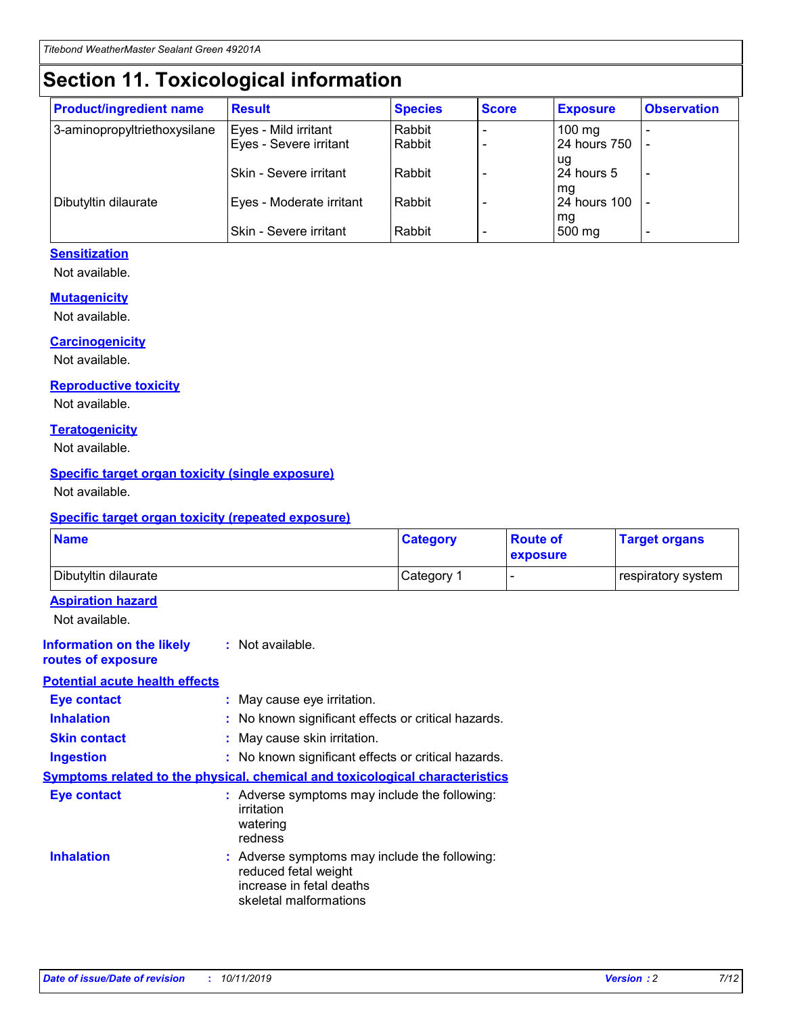## **Section 11. Toxicological information**

| <b>Product/ingredient name</b> | <b>Result</b>            | <b>Species</b> | <b>Score</b> | <b>Exposure</b>           | <b>Observation</b> |
|--------------------------------|--------------------------|----------------|--------------|---------------------------|--------------------|
| 3-aminopropyltriethoxysilane   | Eyes - Mild irritant     | Rabbit         |              | $100$ mg                  |                    |
|                                | Eyes - Severe irritant   | Rabbit         |              | 24 hours 750              |                    |
|                                |                          |                |              | ug                        |                    |
|                                | Skin - Severe irritant   | Rabbit         |              | 24 hours 5                | -                  |
| Dibutyltin dilaurate           | Eyes - Moderate irritant | Rabbit         |              | mq<br><b>24 hours 100</b> |                    |
|                                |                          |                |              | mg                        |                    |
|                                | Skin - Severe irritant   | Rabbit         |              | 500 mg                    |                    |

#### **Sensitization**

Not available.

#### **Mutagenicity**

Not available.

#### **Carcinogenicity**

Not available.

#### **Reproductive toxicity**

Not available.

#### **Teratogenicity**

Not available.

#### **Specific target organ toxicity (single exposure)**

Not available.

#### **Specific target organ toxicity (repeated exposure)**

| <b>Name</b>                                                                  |                                                                                                                             | <b>Category</b> | <b>Route of</b><br>exposure  | <b>Target organs</b> |
|------------------------------------------------------------------------------|-----------------------------------------------------------------------------------------------------------------------------|-----------------|------------------------------|----------------------|
| Dibutyltin dilaurate                                                         |                                                                                                                             | Category 1      | $\qquad \qquad \blacksquare$ | respiratory system   |
| <b>Aspiration hazard</b><br>Not available.                                   |                                                                                                                             |                 |                              |                      |
| <b>Information on the likely</b><br>routes of exposure                       | : Not available.                                                                                                            |                 |                              |                      |
| <b>Potential acute health effects</b>                                        |                                                                                                                             |                 |                              |                      |
| <b>Eye contact</b>                                                           | : May cause eye irritation.                                                                                                 |                 |                              |                      |
| <b>Inhalation</b>                                                            | : No known significant effects or critical hazards.                                                                         |                 |                              |                      |
| <b>Skin contact</b>                                                          | : May cause skin irritation.                                                                                                |                 |                              |                      |
| <b>Ingestion</b>                                                             | : No known significant effects or critical hazards.                                                                         |                 |                              |                      |
| Symptoms related to the physical, chemical and toxicological characteristics |                                                                                                                             |                 |                              |                      |
| <b>Eye contact</b>                                                           | : Adverse symptoms may include the following:<br>irritation<br>watering<br>redness                                          |                 |                              |                      |
| <b>Inhalation</b>                                                            | : Adverse symptoms may include the following:<br>reduced fetal weight<br>increase in fetal deaths<br>skeletal malformations |                 |                              |                      |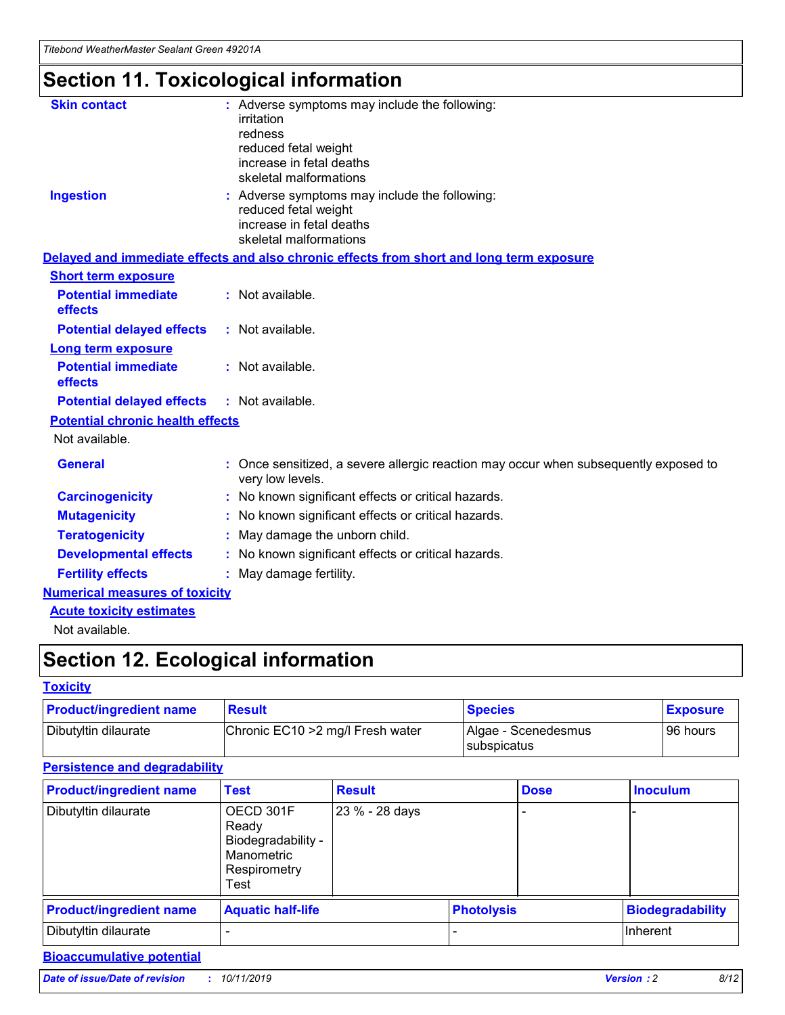## **Section 11. Toxicological information**

| <b>Skin contact</b>                     |                                                                                                          |
|-----------------------------------------|----------------------------------------------------------------------------------------------------------|
|                                         | : Adverse symptoms may include the following:<br>irritation                                              |
|                                         | redness                                                                                                  |
|                                         | reduced fetal weight                                                                                     |
|                                         | increase in fetal deaths                                                                                 |
|                                         | skeletal malformations                                                                                   |
| <b>Ingestion</b>                        | : Adverse symptoms may include the following:                                                            |
|                                         | reduced fetal weight                                                                                     |
|                                         | increase in fetal deaths                                                                                 |
|                                         | skeletal malformations                                                                                   |
|                                         | Delayed and immediate effects and also chronic effects from short and long term exposure                 |
| <b>Short term exposure</b>              |                                                                                                          |
| <b>Potential immediate</b>              | : Not available.                                                                                         |
| effects                                 |                                                                                                          |
| <b>Potential delayed effects</b>        | : Not available.                                                                                         |
| <b>Long term exposure</b>               |                                                                                                          |
| <b>Potential immediate</b>              | : Not available.                                                                                         |
| effects                                 |                                                                                                          |
| <b>Potential delayed effects</b>        | : Not available.                                                                                         |
| <b>Potential chronic health effects</b> |                                                                                                          |
| Not available.                          |                                                                                                          |
| <b>General</b>                          | : Once sensitized, a severe allergic reaction may occur when subsequently exposed to<br>very low levels. |
| <b>Carcinogenicity</b>                  | : No known significant effects or critical hazards.                                                      |
| <b>Mutagenicity</b>                     | No known significant effects or critical hazards.                                                        |
| <b>Teratogenicity</b>                   | May damage the unborn child.                                                                             |
| <b>Developmental effects</b>            | No known significant effects or critical hazards.                                                        |
| <b>Fertility effects</b>                | : May damage fertility.                                                                                  |
| <b>Numerical measures of toxicity</b>   |                                                                                                          |
| <b>Acute toxicity estimates</b>         |                                                                                                          |
|                                         |                                                                                                          |

Not available.

## **Section 12. Ecological information**

#### **Toxicity**

| <b>Product/ingredient name</b> | <b>Result</b>                     | <b>Species</b>                       | <b>Exposure</b> |
|--------------------------------|-----------------------------------|--------------------------------------|-----------------|
| Dibutyltin dilaurate           | Chronic EC10 > 2 mg/l Fresh water | Algae - Scenedesmus<br>I subspicatus | l 96 hours      |

### **Persistence and degradability**

| <b>Product/ingredient name</b> | <b>Test</b>                                                                    | <b>Result</b>  |                   | <b>Dose</b> | <b>Inoculum</b>         |
|--------------------------------|--------------------------------------------------------------------------------|----------------|-------------------|-------------|-------------------------|
| Dibutyltin dilaurate           | OECD 301F<br>Ready<br>Biodegradability -<br>Manometric<br>Respirometry<br>Test | 23 % - 28 days |                   |             |                         |
| <b>Product/ingredient name</b> | <b>Aquatic half-life</b>                                                       |                | <b>Photolysis</b> |             | <b>Biodegradability</b> |
| Dibutyltin dilaurate           |                                                                                |                |                   |             | Inherent                |

### **Bioaccumulative potential**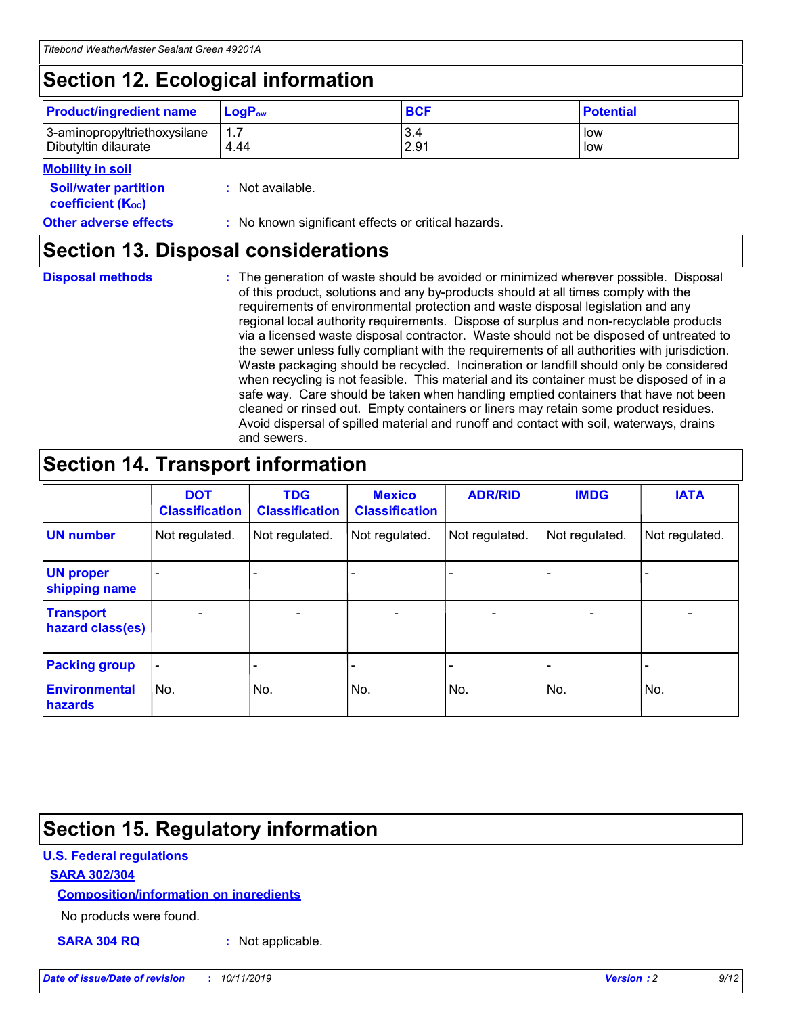## **Section 12. Ecological information**

| <b>Product/ingredient name</b> | $LoaPow$ | <b>BCF</b> | <b>Potential</b> |
|--------------------------------|----------|------------|------------------|
| 3-aminopropyltriethoxysilane   | 1.7      | 3.4        | low              |
| Dibutyltin dilaurate           | 4.44     | 2.91       | low              |

#### **Mobility in soil**

| <b>Soil/water partition</b><br>coefficient (K <sub>oc</sub> ) | : Not available.                                    |
|---------------------------------------------------------------|-----------------------------------------------------|
| <b>Other adverse effects</b>                                  | : No known significant effects or critical hazards. |

### **Section 13. Disposal considerations**

**Disposal methods :**

The generation of waste should be avoided or minimized wherever possible. Disposal of this product, solutions and any by-products should at all times comply with the requirements of environmental protection and waste disposal legislation and any regional local authority requirements. Dispose of surplus and non-recyclable products via a licensed waste disposal contractor. Waste should not be disposed of untreated to the sewer unless fully compliant with the requirements of all authorities with jurisdiction. Waste packaging should be recycled. Incineration or landfill should only be considered when recycling is not feasible. This material and its container must be disposed of in a safe way. Care should be taken when handling emptied containers that have not been cleaned or rinsed out. Empty containers or liners may retain some product residues. Avoid dispersal of spilled material and runoff and contact with soil, waterways, drains and sewers.

## **Section 14. Transport information**

|                                      | <b>DOT</b><br><b>Classification</b> | <b>TDG</b><br><b>Classification</b> | <b>Mexico</b><br><b>Classification</b> | <b>ADR/RID</b> | <b>IMDG</b>              | <b>IATA</b>              |
|--------------------------------------|-------------------------------------|-------------------------------------|----------------------------------------|----------------|--------------------------|--------------------------|
| <b>UN number</b>                     | Not regulated.                      | Not regulated.                      | Not regulated.                         | Not regulated. | Not regulated.           | Not regulated.           |
| <b>UN proper</b><br>shipping name    | $\blacksquare$                      |                                     |                                        |                |                          |                          |
| <b>Transport</b><br>hazard class(es) | $\blacksquare$                      | $\overline{\phantom{a}}$            | $\blacksquare$                         | $\blacksquare$ | $\overline{\phantom{a}}$ | $\overline{\phantom{0}}$ |
| <b>Packing group</b>                 | $\overline{\phantom{a}}$            | $\overline{\phantom{0}}$            | $\overline{\phantom{a}}$               | -              | $\overline{\phantom{0}}$ | $\overline{\phantom{a}}$ |
| <b>Environmental</b><br>hazards      | No.                                 | No.                                 | No.                                    | No.            | No.                      | No.                      |

## **Section 15. Regulatory information**

#### **U.S. Federal regulations**

#### **SARA 302/304**

#### **Composition/information on ingredients**

No products were found.

**SARA 304 RQ :** Not applicable.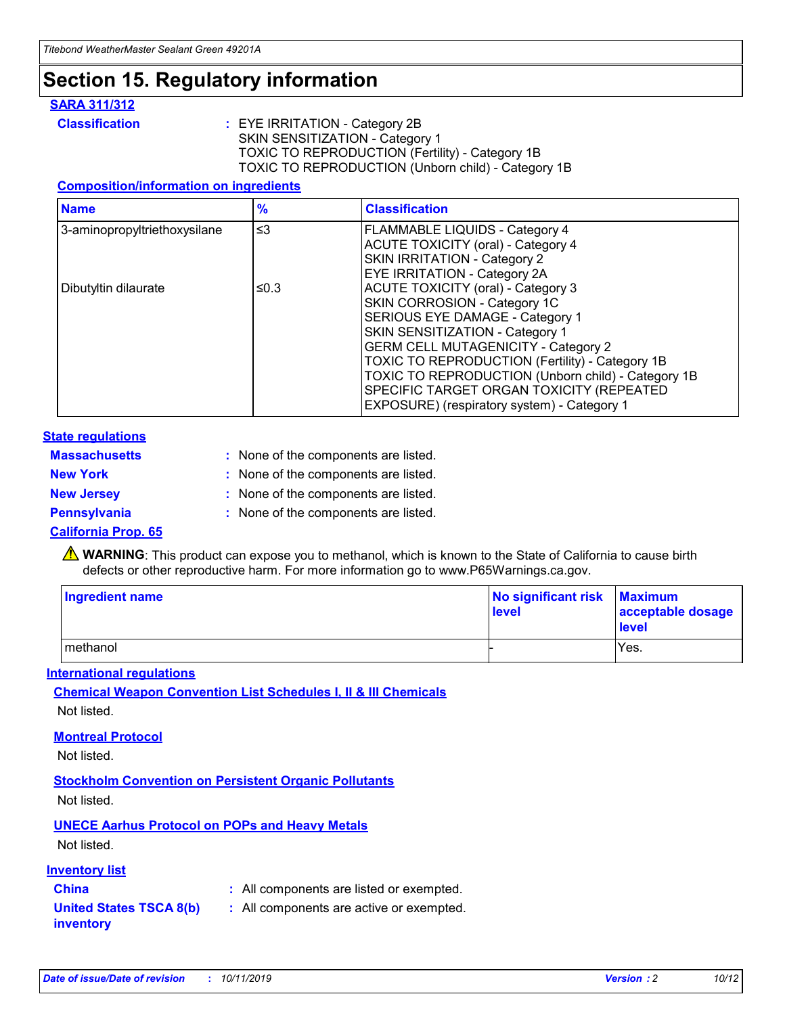### **Section 15. Regulatory information**

#### **SARA 311/312**

**Classification :** EYE IRRITATION - Category 2B SKIN SENSITIZATION - Category 1 TOXIC TO REPRODUCTION (Fertility) - Category 1B TOXIC TO REPRODUCTION (Unborn child) - Category 1B

#### **Composition/information on ingredients**

| <b>Name</b>                              | $\frac{9}{6}$ | <b>Classification</b>                                  |
|------------------------------------------|---------------|--------------------------------------------------------|
| $\leq$ 3<br>3-aminopropyltriethoxysilane |               | <b>FLAMMABLE LIQUIDS - Category 4</b>                  |
|                                          |               | <b>ACUTE TOXICITY (oral) - Category 4</b>              |
|                                          |               | SKIN IRRITATION - Category 2                           |
|                                          |               | EYE IRRITATION - Category 2A                           |
| Dibutyltin dilaurate                     | ≤0.3          | <b>ACUTE TOXICITY (oral) - Category 3</b>              |
|                                          |               | SKIN CORROSION - Category 1C                           |
|                                          |               | SERIOUS EYE DAMAGE - Category 1                        |
|                                          |               | SKIN SENSITIZATION - Category 1                        |
|                                          |               | <b>GERM CELL MUTAGENICITY - Category 2</b>             |
|                                          |               | <b>TOXIC TO REPRODUCTION (Fertility) - Category 1B</b> |
|                                          |               | TOXIC TO REPRODUCTION (Unborn child) - Category 1B     |
|                                          |               | SPECIFIC TARGET ORGAN TOXICITY (REPEATED               |
|                                          |               | EXPOSURE) (respiratory system) - Category 1            |

#### **State regulations**

| <b>Massachusetts</b> | : None of the components are listed. |
|----------------------|--------------------------------------|
| <b>New York</b>      | : None of the components are listed. |
| <b>New Jersey</b>    | : None of the components are listed. |
| Pennsylvania         | : None of the components are listed. |

#### **California Prop. 65**

**A** WARNING: This product can expose you to methanol, which is known to the State of California to cause birth defects or other reproductive harm. For more information go to www.P65Warnings.ca.gov.

| <b>Ingredient name</b> | No significant risk Maximum<br>level | acceptable dosage<br>level |
|------------------------|--------------------------------------|----------------------------|
| methanol               |                                      | Yes.                       |

#### **International regulations**

**Chemical Weapon Convention List Schedules I, II & III Chemicals** Not listed.

#### **Montreal Protocol**

Not listed.

**Stockholm Convention on Persistent Organic Pollutants**

Not listed.

### **UNECE Aarhus Protocol on POPs and Heavy Metals**

Not listed.

#### **Inventory list**

### **China :** All components are listed or exempted.

**United States TSCA 8(b) inventory :** All components are active or exempted.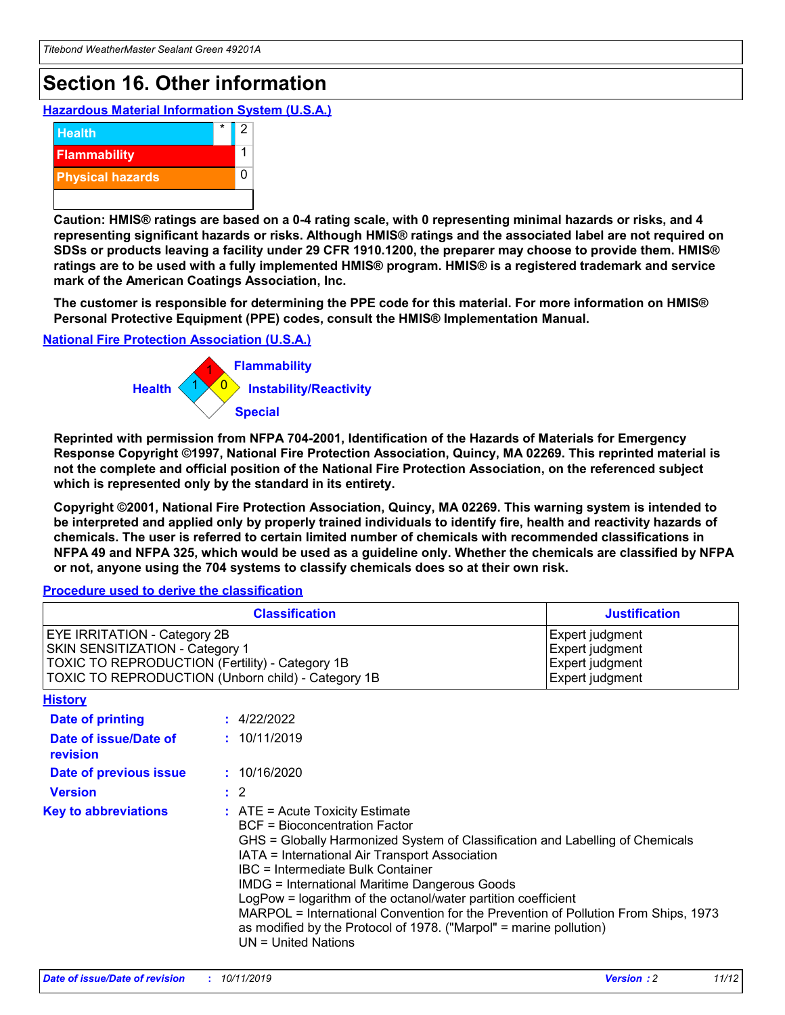## **Section 16. Other information**

**Hazardous Material Information System (U.S.A.)**



**Caution: HMIS® ratings are based on a 0-4 rating scale, with 0 representing minimal hazards or risks, and 4 representing significant hazards or risks. Although HMIS® ratings and the associated label are not required on SDSs or products leaving a facility under 29 CFR 1910.1200, the preparer may choose to provide them. HMIS® ratings are to be used with a fully implemented HMIS® program. HMIS® is a registered trademark and service mark of the American Coatings Association, Inc.**

**The customer is responsible for determining the PPE code for this material. For more information on HMIS® Personal Protective Equipment (PPE) codes, consult the HMIS® Implementation Manual.**

#### **National Fire Protection Association (U.S.A.)**



**Reprinted with permission from NFPA 704-2001, Identification of the Hazards of Materials for Emergency Response Copyright ©1997, National Fire Protection Association, Quincy, MA 02269. This reprinted material is not the complete and official position of the National Fire Protection Association, on the referenced subject which is represented only by the standard in its entirety.**

**Copyright ©2001, National Fire Protection Association, Quincy, MA 02269. This warning system is intended to be interpreted and applied only by properly trained individuals to identify fire, health and reactivity hazards of chemicals. The user is referred to certain limited number of chemicals with recommended classifications in NFPA 49 and NFPA 325, which would be used as a guideline only. Whether the chemicals are classified by NFPA or not, anyone using the 704 systems to classify chemicals does so at their own risk.**

#### **Procedure used to derive the classification**

| <b>Classification</b>                                                                                                                                                    |                                                                                                                                                                                                                                                                                                                                                                                                                                                                                                                                                               | <b>Justification</b>                                                     |
|--------------------------------------------------------------------------------------------------------------------------------------------------------------------------|---------------------------------------------------------------------------------------------------------------------------------------------------------------------------------------------------------------------------------------------------------------------------------------------------------------------------------------------------------------------------------------------------------------------------------------------------------------------------------------------------------------------------------------------------------------|--------------------------------------------------------------------------|
| EYE IRRITATION - Category 2B<br>SKIN SENSITIZATION - Category 1<br>TOXIC TO REPRODUCTION (Fertility) - Category 1B<br>TOXIC TO REPRODUCTION (Unborn child) - Category 1B |                                                                                                                                                                                                                                                                                                                                                                                                                                                                                                                                                               | Expert judgment<br>Expert judgment<br>Expert judgment<br>Expert judgment |
| <b>History</b>                                                                                                                                                           |                                                                                                                                                                                                                                                                                                                                                                                                                                                                                                                                                               |                                                                          |
| <b>Date of printing</b>                                                                                                                                                  | : 4/22/2022                                                                                                                                                                                                                                                                                                                                                                                                                                                                                                                                                   |                                                                          |
| Date of issue/Date of<br>revision                                                                                                                                        | : 10/11/2019                                                                                                                                                                                                                                                                                                                                                                                                                                                                                                                                                  |                                                                          |
| Date of previous issue                                                                                                                                                   | : 10/16/2020                                                                                                                                                                                                                                                                                                                                                                                                                                                                                                                                                  |                                                                          |
| <b>Version</b>                                                                                                                                                           | $\therefore$ 2                                                                                                                                                                                                                                                                                                                                                                                                                                                                                                                                                |                                                                          |
| <b>Key to abbreviations</b>                                                                                                                                              | $:$ ATE = Acute Toxicity Estimate<br><b>BCF</b> = Bioconcentration Factor<br>GHS = Globally Harmonized System of Classification and Labelling of Chemicals<br>IATA = International Air Transport Association<br>IBC = Intermediate Bulk Container<br><b>IMDG = International Maritime Dangerous Goods</b><br>LogPow = logarithm of the octanol/water partition coefficient<br>MARPOL = International Convention for the Prevention of Pollution From Ships, 1973<br>as modified by the Protocol of 1978. ("Marpol" = marine pollution)<br>UN = United Nations |                                                                          |